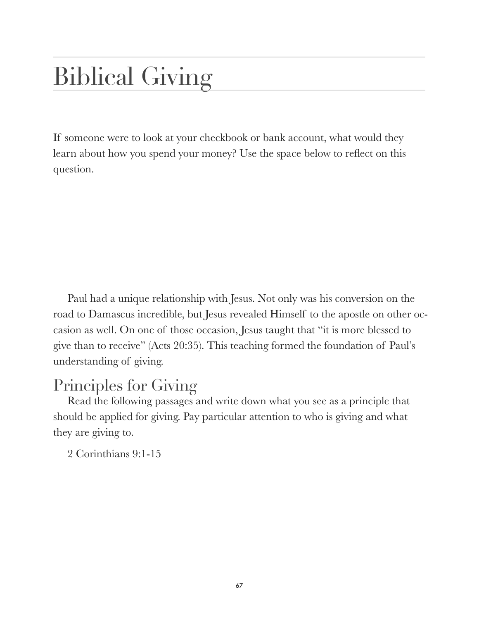## Biblical Giving

If someone were to look at your checkbook or bank account, what would they learn about how you spend your money? Use the space below to reflect on this question.

Paul had a unique relationship with Jesus. Not only was his conversion on the road to Damascus incredible, but Jesus revealed Himself to the apostle on other occasion as well. On one of those occasion, Jesus taught that "it is more blessed to give than to receive" (Acts 20:35). This teaching formed the foundation of Paul's understanding of giving.

## Principles for Giving

Read the following passages and write down what you see as a principle that should be applied for giving. Pay particular attention to who is giving and what they are giving to.

2 Corinthians 9:1-15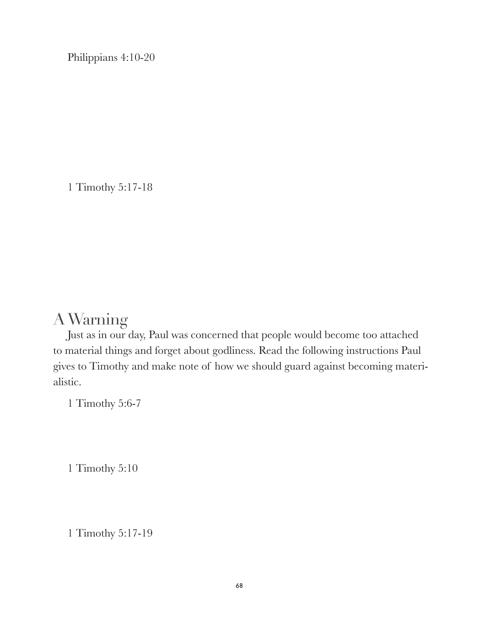Philippians 4:10-20

1 Timothy 5:17-18

## A Warning

Just as in our day, Paul was concerned that people would become too attached to material things and forget about godliness. Read the following instructions Paul gives to Timothy and make note of how we should guard against becoming materialistic.

1 Timothy 5:6-7

1 Timothy 5:10

1 Timothy 5:17-19